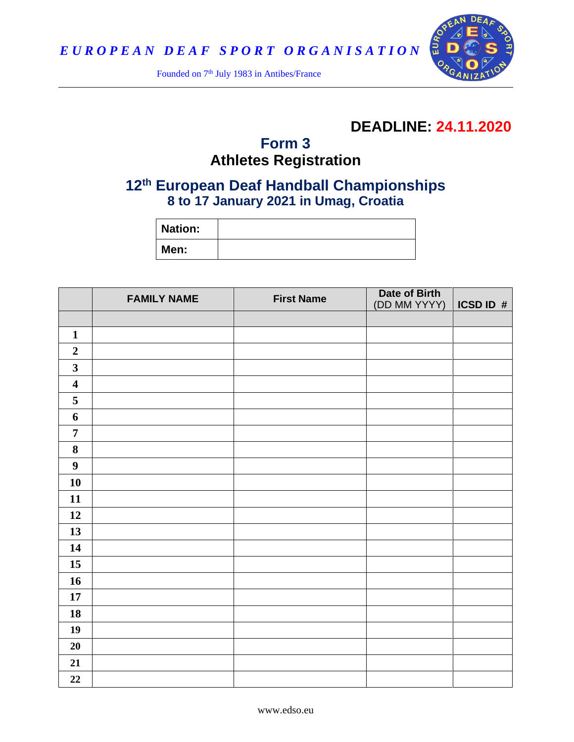

Founded on 7<sup>th</sup> July 1983 in Antibes/France

# **DEADLINE: 24.11.2020**

## **Form 3 Athletes Registration**

## **th European Deaf Handball Championships to 17 January 2021 in Umag, Croatia**

| <b>Nation:</b> |  |
|----------------|--|
| Men:           |  |

|                         | <b>FAMILY NAME</b> | <b>First Name</b> | Date of Birth |           |
|-------------------------|--------------------|-------------------|---------------|-----------|
|                         |                    |                   | (DD MM YYYY)  | ICSD ID # |
|                         |                    |                   |               |           |
| $\mathbf{1}$            |                    |                   |               |           |
| $\boldsymbol{2}$        |                    |                   |               |           |
| $\mathbf{3}$            |                    |                   |               |           |
| $\overline{\mathbf{4}}$ |                    |                   |               |           |
| $\overline{5}$          |                    |                   |               |           |
| 6                       |                    |                   |               |           |
| $\overline{7}$          |                    |                   |               |           |
| $\bf 8$                 |                    |                   |               |           |
| $\boldsymbol{9}$        |                    |                   |               |           |
| 10                      |                    |                   |               |           |
| 11                      |                    |                   |               |           |
| 12                      |                    |                   |               |           |
| 13                      |                    |                   |               |           |
| 14                      |                    |                   |               |           |
| 15                      |                    |                   |               |           |
| 16                      |                    |                   |               |           |
| $17\,$                  |                    |                   |               |           |
| 18                      |                    |                   |               |           |
| 19                      |                    |                   |               |           |
| 20                      |                    |                   |               |           |
| 21                      |                    |                   |               |           |
| 22                      |                    |                   |               |           |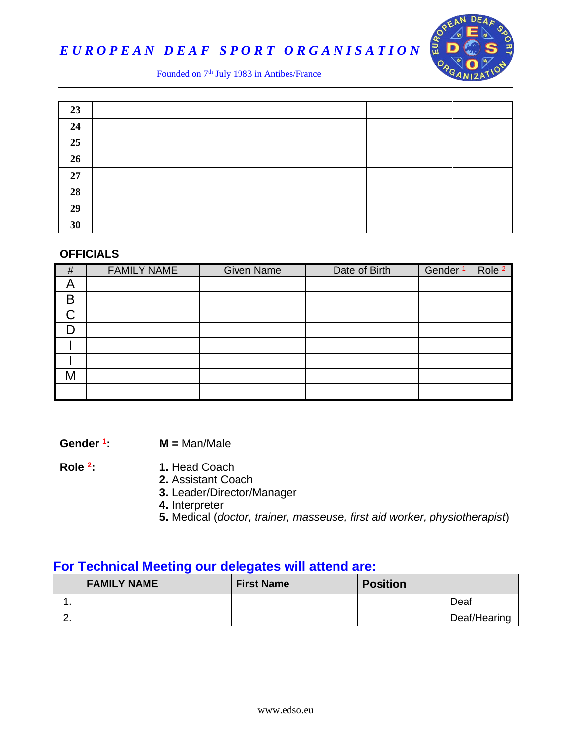

# *E U R O P E A N D E A F S P O R T O R G A N I S A T I O N*

#### Founded on 7<sup>th</sup> July 1983 in Antibes/France

| 23 |  |  |
|----|--|--|
| 24 |  |  |
| 25 |  |  |
| 26 |  |  |
| 27 |  |  |
| 28 |  |  |
| 29 |  |  |
| 30 |  |  |

#### **OFFICIALS**

| #  | <b>FAMILY NAME</b> | <b>Given Name</b> | Date of Birth | Gender <sup>1</sup> | Role <sup>2</sup> |
|----|--------------------|-------------------|---------------|---------------------|-------------------|
| A  |                    |                   |               |                     |                   |
| B  |                    |                   |               |                     |                   |
| C. |                    |                   |               |                     |                   |
|    |                    |                   |               |                     |                   |
|    |                    |                   |               |                     |                   |
|    |                    |                   |               |                     |                   |
| M  |                    |                   |               |                     |                   |
|    |                    |                   |               |                     |                   |

**Gender <sup>1</sup> : M =** Man/Male

**Role <sup>2</sup>**

- **: 1.** Head Coach
- **2.** Assistant Coach
- **3.** Leader/Director/Manager
- **4.** Interpreter
- **5.** Medical (*doctor, trainer, masseuse, first aid worker, physiotherapist*)

### **For Technical Meeting our delegates will attend are:**

|          | <b>FAMILY NAME</b> | <b>First Name</b> | <b>Position</b> |              |
|----------|--------------------|-------------------|-----------------|--------------|
| . .      |                    |                   |                 | Deaf         |
| <u>.</u> |                    |                   |                 | Deaf/Hearing |